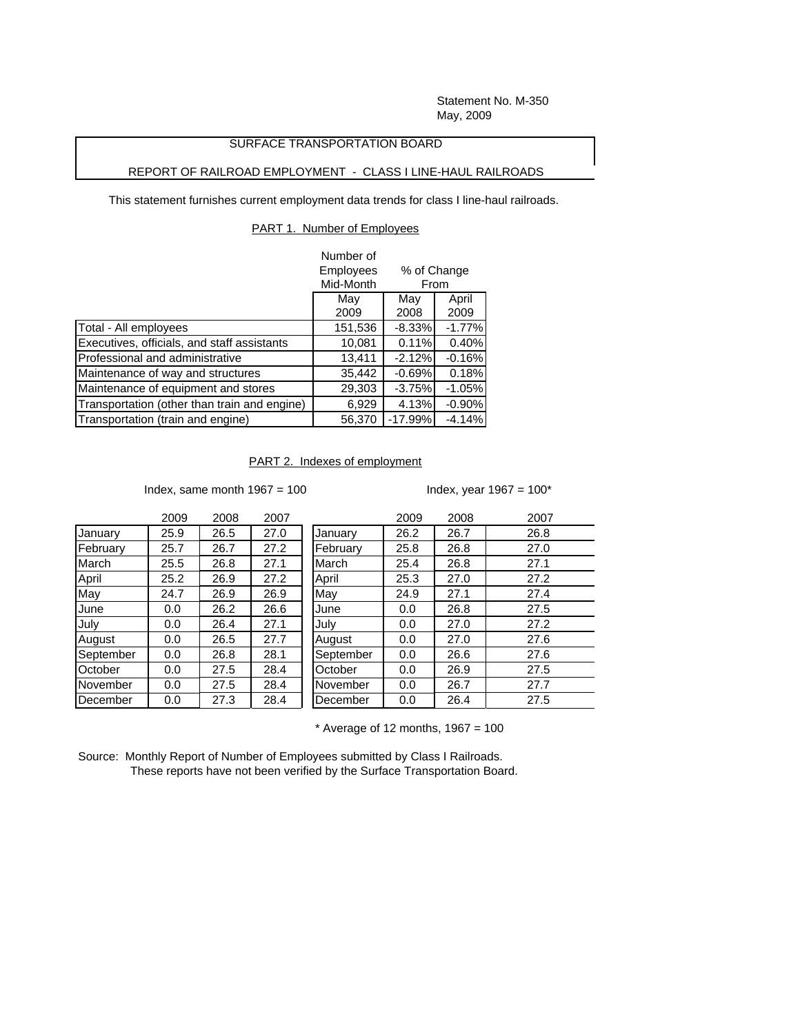Statement No. M-350 May, 2009

# SURFACE TRANSPORTATION BOARD

# REPORT OF RAILROAD EMPLOYMENT - CLASS I LINE-HAUL RAILROADS

This statement furnishes current employment data trends for class I line-haul railroads.

### PART 1. Number of Employees

|                                              | Number of        |                     |          |  |
|----------------------------------------------|------------------|---------------------|----------|--|
|                                              | <b>Employees</b> | % of Change<br>From |          |  |
|                                              | Mid-Month        |                     |          |  |
|                                              | May              | May                 | April    |  |
|                                              | 2009             | 2008                | 2009     |  |
| Total - All employees                        | 151,536          | $-8.33%$            | $-1.77%$ |  |
| Executives, officials, and staff assistants  | 10,081           | 0.11%               | 0.40%    |  |
| Professional and administrative              | 13,411           | $-2.12%$            | $-0.16%$ |  |
| Maintenance of way and structures            | 35,442           | $-0.69%$            | 0.18%    |  |
| Maintenance of equipment and stores          | 29,303           | $-3.75%$            | $-1.05%$ |  |
| Transportation (other than train and engine) | 6,929            | 4.13%               | $-0.90%$ |  |
| Transportation (train and engine)            | 56,370           | $-17.99%$           | $-4.14%$ |  |

# PART 2. Indexes of employment

Index, same month  $1967 = 100$  Index, year  $1967 = 100^*$ 

|             | 2009 | 2008 | 2007 |           | 2009 | 2008 | 2007 |
|-------------|------|------|------|-----------|------|------|------|
| January     | 25.9 | 26.5 | 27.0 | January   | 26.2 | 26.7 | 26.8 |
| February    | 25.7 | 26.7 | 27.2 | February  | 25.8 | 26.8 | 27.0 |
| March       | 25.5 | 26.8 | 27.1 | March     | 25.4 | 26.8 | 27.1 |
| April       | 25.2 | 26.9 | 27.2 | April     | 25.3 | 27.0 | 27.2 |
| May         | 24.7 | 26.9 | 26.9 | May       | 24.9 | 27.1 | 27.4 |
| <b>June</b> | 0.0  | 26.2 | 26.6 | June      | 0.0  | 26.8 | 27.5 |
| July        | 0.0  | 26.4 | 27.1 | July      | 0.0  | 27.0 | 27.2 |
| August      | 0.0  | 26.5 | 27.7 | August    | 0.0  | 27.0 | 27.6 |
| September   | 0.0  | 26.8 | 28.1 | September | 0.0  | 26.6 | 27.6 |
| October     | 0.0  | 27.5 | 28.4 | October   | 0.0  | 26.9 | 27.5 |
| November    | 0.0  | 27.5 | 28.4 | November  | 0.0  | 26.7 | 27.7 |
| December    | 0.0  | 27.3 | 28.4 | December  | 0.0  | 26.4 | 27.5 |

 $*$  Average of 12 months, 1967 = 100

Source: Monthly Report of Number of Employees submitted by Class I Railroads. These reports have not been verified by the Surface Transportation Board.